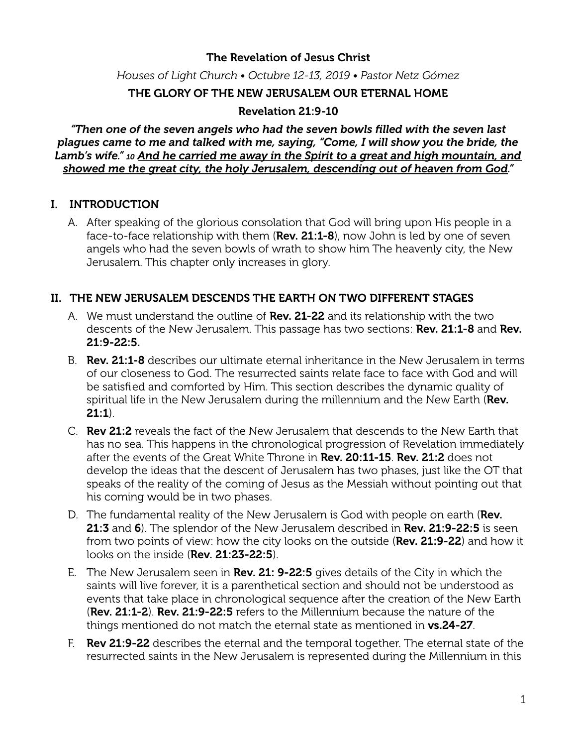## The Revelation of Jesus Christ

*Houses of Light Church • Octubre 12-13, 2019 • Pastor Netz Gómez* 

## THE GLORY OF THE NEW JERUSALEM OUR ETERNAL HOME

### Revelation 21:9-10

*"Then one of the seven angels who had the seven bowls filled with the seven last plagues came to me and talked with me, saying, "Come, I will show you the bride, the Lamb's wife." 10 And he carried me away in the Spirit to a great and high mountain, and showed me the great city, the holy Jerusalem, descending out of heaven from God."* 

## I. INTRODUCTION

A. After speaking of the glorious consolation that God will bring upon His people in a face-to-face relationship with them (Rev. 21:1-8), now John is led by one of seven angels who had the seven bowls of wrath to show him The heavenly city, the New Jerusalem. This chapter only increases in glory.

#### II. THE NEW JERUSALEM DESCENDS THE EARTH ON TWO DIFFERENT STAGES

- A. We must understand the outline of **Rev. 21-22** and its relationship with the two descents of the New Jerusalem. This passage has two sections: **Rev. 21:1-8** and **Rev.** 21:9-22:5.
- B. **Rev. 21:1-8** describes our ultimate eternal inheritance in the New Jerusalem in terms of our closeness to God. The resurrected saints relate face to face with God and will be satisfied and comforted by Him. This section describes the dynamic quality of spiritual life in the New Jerusalem during the millennium and the New Earth (Rev.  $21:1$
- C. Rev 21:2 reveals the fact of the New Jerusalem that descends to the New Earth that has no sea. This happens in the chronological progression of Revelation immediately after the events of the Great White Throne in Rev. 20:11-15. Rev. 21:2 does not develop the ideas that the descent of Jerusalem has two phases, just like the OT that speaks of the reality of the coming of Jesus as the Messiah without pointing out that his coming would be in two phases.
- D. The fundamental reality of the New Jerusalem is God with people on earth (Rev. 21:3 and 6). The splendor of the New Jerusalem described in Rev. 21:9-22:5 is seen from two points of view: how the city looks on the outside (Rev. 21:9-22) and how it looks on the inside (Rev. 21:23-22:5).
- E. The New Jerusalem seen in Rev. 21: 9-22:5 gives details of the City in which the saints will live forever, it is a parenthetical section and should not be understood as events that take place in chronological sequence after the creation of the New Earth (Rev. 21:1-2). Rev. 21:9-22:5 refers to the Millennium because the nature of the things mentioned do not match the eternal state as mentioned in **vs.24-27**.
- F. Rev 21:9-22 describes the eternal and the temporal together. The eternal state of the resurrected saints in the New Jerusalem is represented during the Millennium in this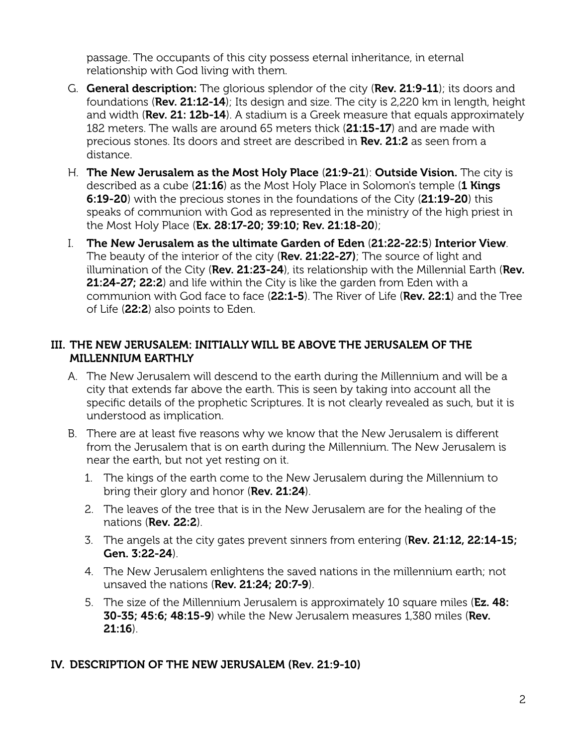passage. The occupants of this city possess eternal inheritance, in eternal relationship with God living with them.

- G. General description: The glorious splendor of the city (Rev. 21:9-11); its doors and foundations (Rev. 21:12-14); Its design and size. The city is 2,220 km in length, height and width (Rev. 21: 12b-14). A stadium is a Greek measure that equals approximately 182 meters. The walls are around 65 meters thick (21:15-17) and are made with precious stones. Its doors and street are described in Rev. 21:2 as seen from a distance.
- H. The New Jerusalem as the Most Holy Place (21:9-21): Outside Vision. The city is described as a cube (21:16) as the Most Holy Place in Solomon's temple (1 Kings 6:19-20) with the precious stones in the foundations of the City (21:19-20) this speaks of communion with God as represented in the ministry of the high priest in the Most Holy Place (Ex. 28:17-20; 39:10; Rev. 21:18-20);
- I. The New Jerusalem as the ultimate Garden of Eden (21:22-22:5) Interior View. The beauty of the interior of the city (Rev. 21:22-27); The source of light and illumination of the City ( $Rev. 21:23-24$ ), its relationship with the Millennial Earth ( $Rev.$ 21:24-27; 22:2) and life within the City is like the garden from Eden with a communion with God face to face (22:1-5). The River of Life (Rev. 22:1) and the Tree of Life (22:2) also points to Eden.

## III. THE NEW JERUSALEM: INITIALLY WILL BE ABOVE THE JERUSALEM OF THE MILLENNIUM EARTHLY

- A. The New Jerusalem will descend to the earth during the Millennium and will be a city that extends far above the earth. This is seen by taking into account all the specific details of the prophetic Scriptures. It is not clearly revealed as such, but it is understood as implication.
- B. There are at least five reasons why we know that the New Jerusalem is diferent from the Jerusalem that is on earth during the Millennium. The New Jerusalem is near the earth, but not yet resting on it.
	- 1. The kings of the earth come to the New Jerusalem during the Millennium to bring their glory and honor (Rev. 21:24).
	- 2. The leaves of the tree that is in the New Jerusalem are for the healing of the nations (Rev. 22:2).
	- 3. The angels at the city gates prevent sinners from entering ( $Rev. 21:12, 22:14-15;$ Gen. 3:22-24).
	- 4. The New Jerusalem enlightens the saved nations in the millennium earth; not unsaved the nations (Rev. 21:24; 20:7-9).
	- 5. The size of the Millennium Jerusalem is approximately 10 square miles (**Ez. 48: 30-35; 45:6; 48:15-9)** while the New Jerusalem measures 1,380 miles (Rev. 21:16).

## IV. DESCRIPTION OF THE NEW JERUSALEM (Rev. 21:9-10)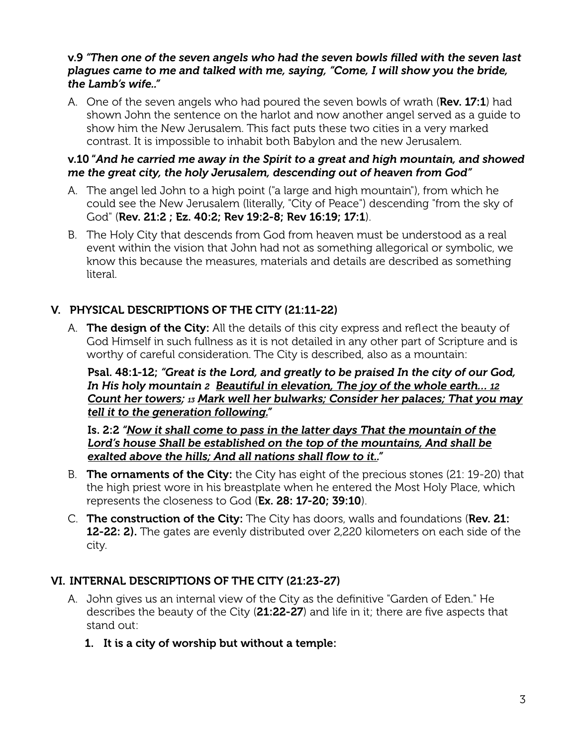#### v.9 *"Then one of the seven angels who had the seven bowls filled with the seven last plagues came to me and talked with me, saying, "Come, I will show you the bride, the Lamb's wife.."*

A. One of the seven angels who had poured the seven bowls of wrath ( $\text{Rev. 17:1}$ ) had shown John the sentence on the harlot and now another angel served as a guide to show him the New Jerusalem. This fact puts these two cities in a very marked contrast. It is impossible to inhabit both Babylon and the new Jerusalem.

#### v.10 "*And he carried me away in the Spirit to a great and high mountain, and showed me the great city, the holy Jerusalem, descending out of heaven from God"*

- A. The angel led John to a high point ("a large and high mountain"), from which he could see the New Jerusalem (literally, "City of Peace") descending "from the sky of God" (Rev. 21:2 ; Ez. 40:2; Rev 19:2-8; Rev 16:19; 17:1).
- B. The Holy City that descends from God from heaven must be understood as a real event within the vision that John had not as something allegorical or symbolic, we know this because the measures, materials and details are described as something literal.

# V. PHYSICAL DESCRIPTIONS OF THE CITY (21:11-22)

A. The design of the City: All the details of this city express and reflect the beauty of God Himself in such fullness as it is not detailed in any other part of Scripture and is worthy of careful consideration. The City is described, also as a mountain:

Psal. 48:1-12; *"Great is the Lord, and greatly to be praised In the city of our God, In His holy mountain 2 Beautiful in elevation, The joy of the whole earth… 12 Count her towers; 13 Mark well her bulwarks; Consider her palaces; That you may tell it to the generation following."*

Is. 2:2 *"Now it shall come to pass in the latter days That the mountain of the Lord's house Shall be established on the top of the mountains, And shall be exalted above the hills; And all nations shall flow to it.."*

- B. **The ornaments of the City:** the City has eight of the precious stones (21: 19-20) that the high priest wore in his breastplate when he entered the Most Holy Place, which represents the closeness to God (Ex. 28: 17-20; 39:10).
- C. The construction of the City: The City has doors, walls and foundations (Rev. 21: 12-22: 2). The gates are evenly distributed over 2,220 kilometers on each side of the city.

# VI. INTERNAL DESCRIPTIONS OF THE CITY (21:23-27)

- A. John gives us an internal view of the City as the definitive "Garden of Eden." He describes the beauty of the City (21:22-27) and life in it; there are five aspects that stand out:
	- 1. It is a city of worship but without a temple: